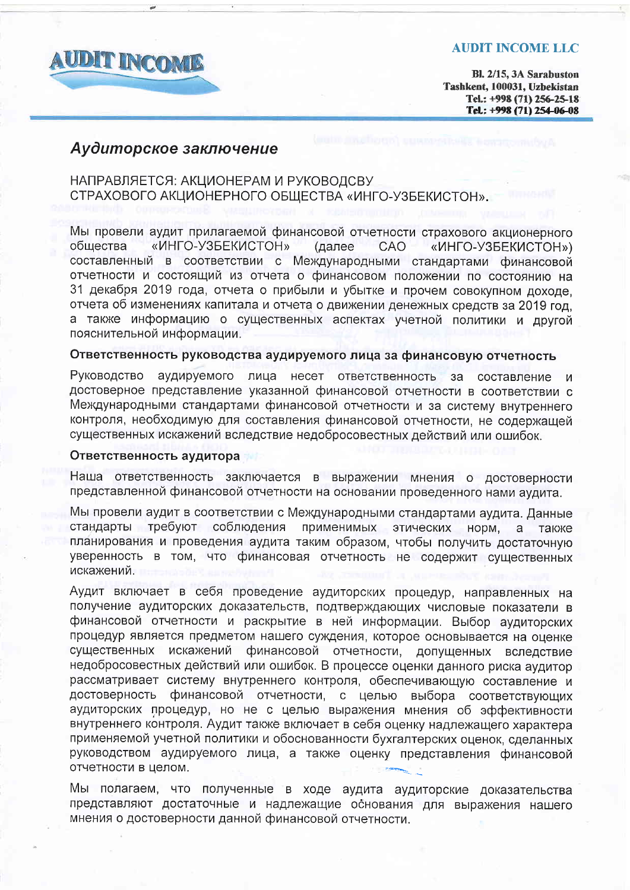

## **AUDIT INCOME LLC**

Bl. 2/15, 3A Sarabuston Tashkent, 100031, Uzbekistan Tel.: +998 (71) 256-25-18 Tel: +998 (71) 254-06-08

# Аудиторское заключение

# НАПРАВЛЯЕТСЯ: АКЦИОНЕРАМ И РУКОВОДСВУ СТРАХОВОГО АКЦИОНЕРНОГО ОБЩЕСТВА «ИНГО-УЗБЕКИСТОН».

Мы провели аудит прилагаемой финансовой отчетности страхового акционерного общества «ИНГО-УЗБЕКИСТОН» (далее **CAO** «ИНГО-УЗБЕКИСТОН») составленный в соответствии с Международными стандартами финансовой отчетности и состоящий из отчета о финансовом положении по состоянию на 31 декабря 2019 года, отчета о прибыли и убытке и прочем совокупном доходе. отчета об изменениях капитала и отчета о движении денежных средств за 2019 год, а также информацию о существенных аспектах учетной политики и другой пояснительной информации.

# Ответственность руководства аудируемого лица за финансовую отчетность

Руководство аудируемого лица несет ответственность за составление достоверное представление указанной финансовой отчетности в соответствии с Международными стандартами финансовой отчетности и за систему внутреннего контроля, необходимую для составления финансовой отчетности, не содержащей существенных искажений вследствие недобросовестных действий или ошибок.

## Ответственность аудитора

Наша ответственность заключается в выражении мнения о достоверности представленной финансовой отчетности на основании проведенного нами аудита.

Мы провели аудит в соответствии с Международными стандартами аудита. Данные стандарты требуют соблюдения применимых этических норм,  $a$ также планирования и проведения аудита таким образом, чтобы получить достаточную уверенность в том, что финансовая отчетность не содержит существенных искажений.

Аудит включает в себя проведение аудиторских процедур, направленных на получение аудиторских доказательств, подтверждающих числовые показатели в финансовой отчетности и раскрытие в ней информации. Выбор аудиторских процедур является предметом нашего суждения, которое основывается на оценке существенных искажений финансовой отчетности, допущенных вследствие недобросовестных действий или ошибок. В процессе оценки данного риска аудитор рассматривает систему внутреннего контроля, обеспечивающую составление и финансовой отчетности, с целью выбора соответствующих достоверность аудиторских процедур, но не с целью выражения мнения об эффективности внутреннего контроля. Аудит также включает в себя оценку надлежащего характера применяемой учетной политики и обоснованности бухгалтерских оценок, сделанных руководством аудируемого лица, а также оценку представления финансовой отчетности в целом.

Мы полагаем, что полученные в ходе аудита аудиторские доказательства представляют достаточные и надлежащие основания для выражения нашего мнения о достоверности данной финансовой отчетности.